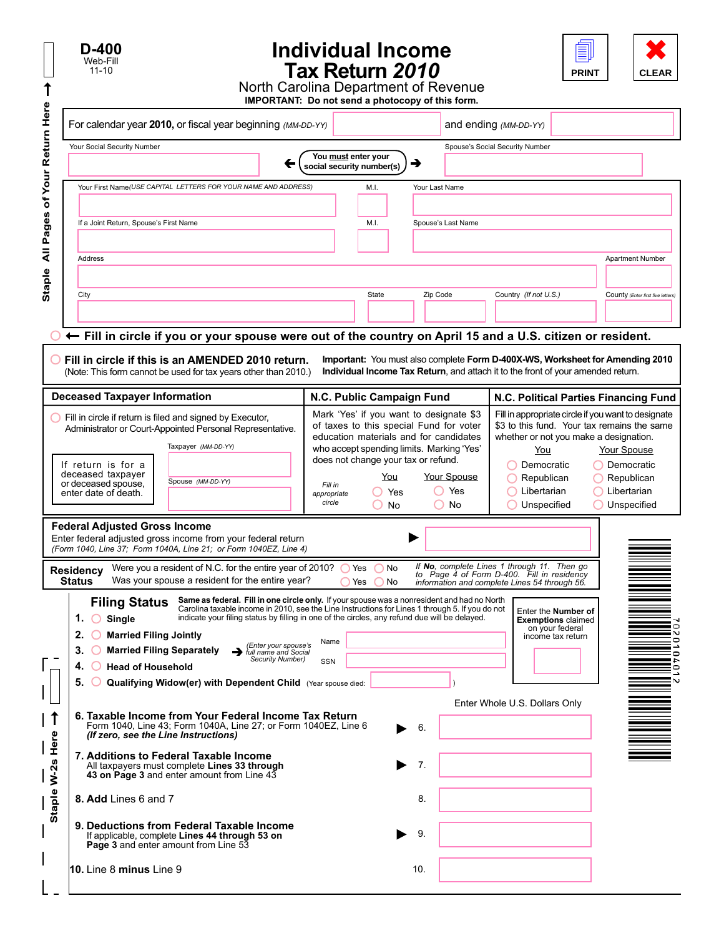| D-400<br>Web-Fill<br>$11 - 10$ |
|--------------------------------|
|--------------------------------|

↑

## **Individual Income Tax Return** *2010*



North Carolina Department of Revenue **IMPORTANT: Do not send a photocopy of this form.** 

| For calendar year 2010, or fiscal year beginning (MM-DD-YY)                                                                                                                                                                                                                                                                                                                                                                                                                                                                                                                                       | $1000$ of $1000$ and $1000$ and $1000$ and $1000$ |                                                                                                                                                                                                                                                   |                |                          | and ending (MM-DD-YY)                                                                                                                      |                                                                                                 |                                                                                                                                                                                                                                                |
|---------------------------------------------------------------------------------------------------------------------------------------------------------------------------------------------------------------------------------------------------------------------------------------------------------------------------------------------------------------------------------------------------------------------------------------------------------------------------------------------------------------------------------------------------------------------------------------------------|---------------------------------------------------|---------------------------------------------------------------------------------------------------------------------------------------------------------------------------------------------------------------------------------------------------|----------------|--------------------------|--------------------------------------------------------------------------------------------------------------------------------------------|-------------------------------------------------------------------------------------------------|------------------------------------------------------------------------------------------------------------------------------------------------------------------------------------------------------------------------------------------------|
| Your Social Security Number                                                                                                                                                                                                                                                                                                                                                                                                                                                                                                                                                                       | You must enter your<br>social security number(s)  |                                                                                                                                                                                                                                                   | →              |                          | Spouse's Social Security Number                                                                                                            |                                                                                                 |                                                                                                                                                                                                                                                |
| Your First Name(USE CAPITAL LETTERS FOR YOUR NAME AND ADDRESS)<br>If a Joint Return, Spouse's First Name                                                                                                                                                                                                                                                                                                                                                                                                                                                                                          |                                                   | M.I.<br>M.I.                                                                                                                                                                                                                                      | Your Last Name | Spouse's Last Name       |                                                                                                                                            |                                                                                                 |                                                                                                                                                                                                                                                |
| All Pages<br>Address                                                                                                                                                                                                                                                                                                                                                                                                                                                                                                                                                                              |                                                   |                                                                                                                                                                                                                                                   |                |                          |                                                                                                                                            |                                                                                                 | <b>Apartment Number</b>                                                                                                                                                                                                                        |
| City                                                                                                                                                                                                                                                                                                                                                                                                                                                                                                                                                                                              |                                                   | State                                                                                                                                                                                                                                             | Zip Code       |                          | Country (If not U.S.)                                                                                                                      |                                                                                                 | County (Enter first five letters)                                                                                                                                                                                                              |
| ← Fill in circle if you or your spouse were out of the country on April 15 and a U.S. citizen or resident.<br>Fill in circle if this is an AMENDED 2010 return.<br>(Note: This form cannot be used for tax years other than 2010.)                                                                                                                                                                                                                                                                                                                                                                |                                                   |                                                                                                                                                                                                                                                   |                |                          | Individual Income Tax Return, and attach it to the front of your amended return.                                                           |                                                                                                 | Important: You must also complete Form D-400X-WS, Worksheet for Amending 2010                                                                                                                                                                  |
| <b>Deceased Taxpayer Information</b>                                                                                                                                                                                                                                                                                                                                                                                                                                                                                                                                                              |                                                   | N.C. Public Campaign Fund                                                                                                                                                                                                                         |                |                          |                                                                                                                                            |                                                                                                 | N.C. Political Parties Financing Fund                                                                                                                                                                                                          |
| Fill in circle if return is filed and signed by Executor,<br>Administrator or Court-Appointed Personal Representative.<br>Taxpayer (MM-DD-YY)<br>If return is for a<br>deceased taxpayer<br>Spouse (MM-DD-YY)<br>or deceased spouse.<br>enter date of death.                                                                                                                                                                                                                                                                                                                                      | Fill in<br>appropriate<br>circle                  | Mark 'Yes' if you want to designate \$3<br>of taxes to this special Fund for voter<br>education materials and for candidates<br>who accept spending limits. Marking 'Yes'<br>does not change your tax or refund.<br>You<br>◯ Yes<br>$\bigcirc$ No | $^{\circ}$     | Your Spouse<br>Yes<br>No | You<br>Democratic<br>Republican<br>$\bigcirc$ Libertarian<br>◯ Unspecified                                                                 |                                                                                                 | Fill in appropriate circle if you want to designate<br>\$3 to this fund. Your tax remains the same<br>whether or not you make a designation.<br>Your Spouse<br>◯ Democratic<br>$\bigcap$ Republican<br>$\bigcirc$ Libertarian<br>◯ Unspecified |
| <b>Federal Adjusted Gross Income</b><br>Enter federal adjusted gross income from your federal return<br>(Form 1040, Line 37; Form 1040A, Line 21; or Form 1040EZ, Line 4)<br>Were you a resident of N.C. for the entire year of 2010? $\bigcirc$ Yes<br><b>Residency</b><br><b>Status</b><br>Was your spouse a resident for the entire year?                                                                                                                                                                                                                                                      | $\bigcap$ Yes                                     | $\bigcirc$ No<br>$\bigcirc$ No                                                                                                                                                                                                                    |                |                          | If No, complete Lines 1 through 11. Then go<br>to Page 4 of Form D-400. Fill in residency<br>information and complete Lines 54 through 56. |                                                                                                 |                                                                                                                                                                                                                                                |
| Same as federal. Fill in one circle only. If your spouse was a nonresident and had no North<br><b>Filing Status</b><br>Carolina taxable income in 2010, see the Line Instructions for Lines 1 through 5. If you do not<br>indicate your filing status by filling in one of the circles, any refund due will be delayed.<br>1. $\bigcirc$ Single<br>O Married Filing Jointly<br>(Enter your spouse's<br><b>Married Filing Separately</b><br>3.<br>full name and Social<br>Security Number)<br><b>Head of Household</b><br>4.<br>Qualifying Widow(er) with Dependent Child (Year spouse died:<br>5. | Name<br>SSN                                       |                                                                                                                                                                                                                                                   |                |                          | Enter Whole U.S. Dollars Only                                                                                                              | Enter the <b>Number of</b><br><b>Exemptions claimed</b><br>on your federal<br>income tax return | i2<br>¦⊇<br>$\bullet$<br>ίō<br>'N                                                                                                                                                                                                              |
| 6. Taxable Income from Your Federal Income Tax Return<br>1<br>Form 1040, Line 43; Form 1040A, Line 27; or Form 1040EZ, Line 6<br>Here<br>(If zero, see the Line Instructions)<br>7. Additions to Federal Taxable Income<br>Staple W-2s<br>All taxpayers must complete Lines 33 through<br>43 on Page 3 and enter amount from Line 43                                                                                                                                                                                                                                                              |                                                   |                                                                                                                                                                                                                                                   | 6.<br>7.       |                          |                                                                                                                                            |                                                                                                 |                                                                                                                                                                                                                                                |
| 8. Add Lines 6 and 7<br>9. Deductions from Federal Taxable Income<br>If applicable, complete Lines 44 through 53 on<br>Page 3 and enter amount from Line 53                                                                                                                                                                                                                                                                                                                                                                                                                                       |                                                   |                                                                                                                                                                                                                                                   | 8.<br>9.       |                          |                                                                                                                                            |                                                                                                 |                                                                                                                                                                                                                                                |
| 10. Line 8 minus Line 9                                                                                                                                                                                                                                                                                                                                                                                                                                                                                                                                                                           |                                                   |                                                                                                                                                                                                                                                   | 10.            |                          |                                                                                                                                            |                                                                                                 |                                                                                                                                                                                                                                                |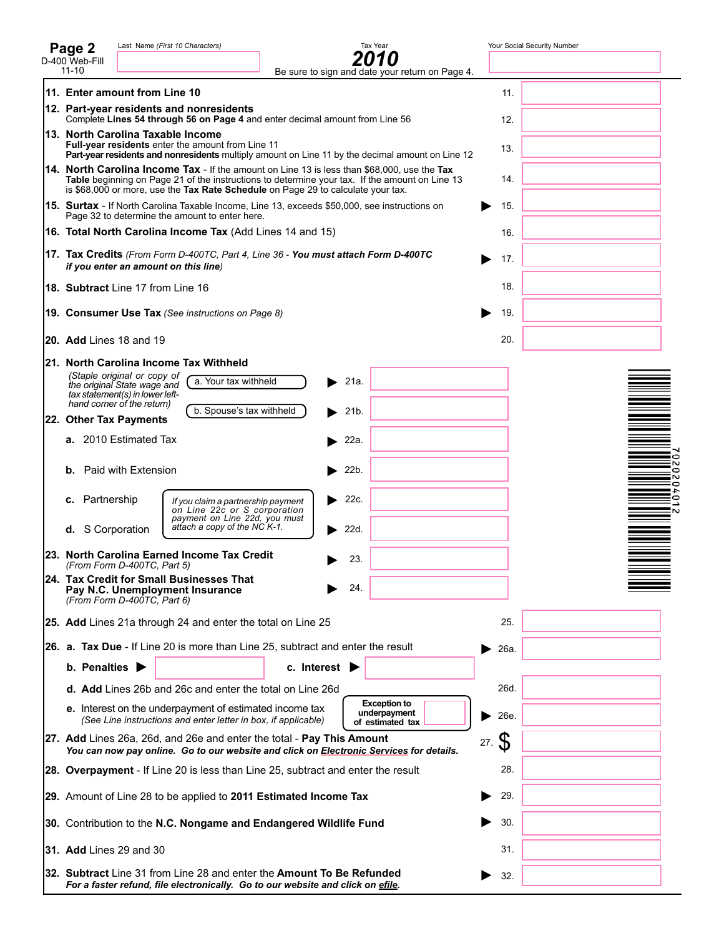| Last Name (First 10 Characters)<br>Tax Year<br>Page 2                                                                                                                                                                                                                                    |          | Your Social Security Number |
|------------------------------------------------------------------------------------------------------------------------------------------------------------------------------------------------------------------------------------------------------------------------------------------|----------|-----------------------------|
| Ω<br>D-400 Web-Fill<br>$11 - 10$<br>Be sure to sign and date your return on Page 4.                                                                                                                                                                                                      |          |                             |
| 11. Enter amount from Line 10                                                                                                                                                                                                                                                            | 11.      |                             |
| 12. Part-year residents and nonresidents<br>Complete Lines 54 through 56 on Page 4 and enter decimal amount from Line 56                                                                                                                                                                 | 12.      |                             |
| 13. North Carolina Taxable Income                                                                                                                                                                                                                                                        |          |                             |
| Full-year residents enter the amount from Line 11<br>Part-year residents and nonresidents multiply amount on Line 11 by the decimal amount on Line 12                                                                                                                                    | 13.      |                             |
| <b>14. North Carolina Income Tax</b> - If the amount on Line 13 is less than \$68,000, use the Tax<br>Table beginning on Page 21 of the instructions to determine your tax. If the amount on Line 13<br>is \$68,000 or more, use the Tax Rate Schedule on Page 29 to calculate your tax. | 14.      |                             |
| <b>15. Surtax</b> - If North Carolina Taxable Income, Line 13, exceeds \$50,000, see instructions on<br>Page 32 to determine the amount to enter here.                                                                                                                                   | 15.      |                             |
| 16. Total North Carolina Income Tax (Add Lines 14 and 15)                                                                                                                                                                                                                                | 16.      |                             |
| <b>17. Tax Credits</b> (From Form D-400TC, Part 4, Line 36 - <b>You must attach Form D-400TC</b><br>if you enter an amount on this line)                                                                                                                                                 | 17.      |                             |
| 18. Subtract Line 17 from Line 16                                                                                                                                                                                                                                                        | 18.      |                             |
| 19. Consumer Use Tax (See instructions on Page 8)                                                                                                                                                                                                                                        | 19.      |                             |
| <b>20. Add</b> Lines 18 and 19                                                                                                                                                                                                                                                           | 20.      |                             |
| 21. North Carolina Income Tax Withheld                                                                                                                                                                                                                                                   |          |                             |
| (Staple original or copy of<br>21a.<br>a. Your tax withheld<br>the original State wage and<br>tax statement(s) in lower left-                                                                                                                                                            |          |                             |
| hand corner of the return)<br>b. Spouse's tax withheld<br>21 <sub>b</sub><br>22. Other Tax Payments                                                                                                                                                                                      |          |                             |
| <b>a.</b> 2010 Estimated Tax<br>22a.                                                                                                                                                                                                                                                     |          |                             |
| <b>b.</b> Paid with Extension<br>22b.                                                                                                                                                                                                                                                    |          | 0<br>N<br>0                 |
|                                                                                                                                                                                                                                                                                          |          | N<br>0<br>4                 |
| Partnership<br>22c.<br>с.<br>▶<br>If you claim a partnership payment<br>on Line 22c or S corporation                                                                                                                                                                                     |          | $\bullet$<br>:N             |
| payment on Line 22d, you must<br>attach a copy of the NC K-1.<br>S Corporation<br>22d.<br>d.                                                                                                                                                                                             |          |                             |
| 23. North Carolina Earned Income Tax Credit<br>23.<br>(From Form D-400TC, Part 5)                                                                                                                                                                                                        |          |                             |
| 24. Tax Credit for Small Businesses That<br>24.<br>Pay N.C. Unemployment Insurance                                                                                                                                                                                                       |          |                             |
| (From Form D-400TC, Part 6)                                                                                                                                                                                                                                                              |          |                             |
| 25. Add Lines 21a through 24 and enter the total on Line 25                                                                                                                                                                                                                              | 25.      |                             |
| 26. a. Tax Due - If Line 20 is more than Line 25, subtract and enter the result                                                                                                                                                                                                          | 26a.     |                             |
| b. Penalties ><br>c. Interest $\blacktriangleright$                                                                                                                                                                                                                                      |          |                             |
| d. Add Lines 26b and 26c and enter the total on Line 26d<br><b>Exception to</b>                                                                                                                                                                                                          | 26d.     |                             |
| e. Interest on the underpayment of estimated income tax<br>underpayment<br>(See Line instructions and enter letter in box, if applicable)<br>of estimated tax                                                                                                                            | 26e.     |                             |
| 27. Add Lines 26a, 26d, and 26e and enter the total - Pay This Amount<br>You can now pay online. Go to our website and click on Electronic Services for details.                                                                                                                         | S<br>27. |                             |
| 28. Overpayment - If Line 20 is less than Line 25, subtract and enter the result                                                                                                                                                                                                         | 28.      |                             |
| 29. Amount of Line 28 to be applied to 2011 Estimated Income Tax                                                                                                                                                                                                                         | 29.      |                             |
| 30. Contribution to the N.C. Nongame and Endangered Wildlife Fund                                                                                                                                                                                                                        | 30.      |                             |
| <b>31. Add Lines 29 and 30</b>                                                                                                                                                                                                                                                           | 31.      |                             |
| 32. Subtract Line 31 from Line 28 and enter the Amount To Be Refunded<br>For a faster refund, file electronically. Go to our website and click on efile.                                                                                                                                 | 32.      |                             |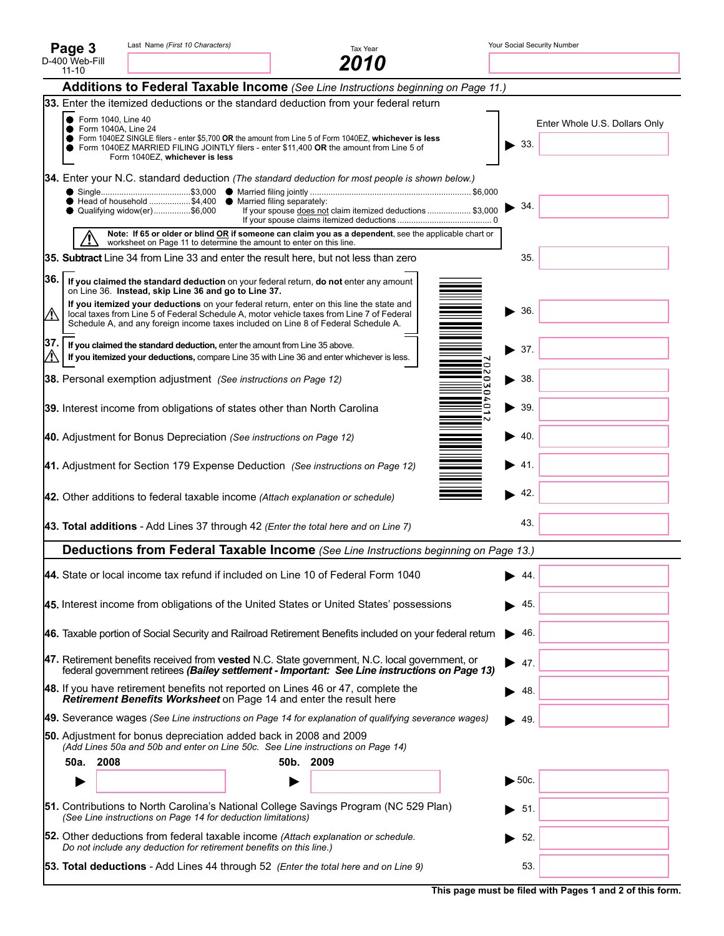|     | Page 3                                      | Last Name (First 10 Characters)                                                                                                                                                                                                                                             |           | Tax Year                                                   |   | Your Social Security Number             |
|-----|---------------------------------------------|-----------------------------------------------------------------------------------------------------------------------------------------------------------------------------------------------------------------------------------------------------------------------------|-----------|------------------------------------------------------------|---|-----------------------------------------|
|     | D-400 Web-Fill<br>$11 - 10$                 |                                                                                                                                                                                                                                                                             |           | 2010                                                       |   |                                         |
|     |                                             | Additions to Federal Taxable Income (See Line Instructions beginning on Page 11.)                                                                                                                                                                                           |           |                                                            |   |                                         |
|     |                                             | 33. Enter the itemized deductions or the standard deduction from your federal return                                                                                                                                                                                        |           |                                                            |   |                                         |
|     | ● Form 1040, Line 40<br>Form 1040A, Line 24 | Form 1040EZ SINGLE filers - enter \$5,700 OR the amount from Line 5 of Form 1040EZ, whichever is less<br>Form 1040EZ MARRIED FILING JOINTLY filers - enter \$11,400 OR the amount from Line 5 of<br>Form 1040EZ, whichever is less                                          |           |                                                            |   | Enter Whole U.S. Dollars Only<br>$-33.$ |
|     |                                             | <b>34.</b> Enter your N.C. standard deduction (The standard deduction for most people is shown below.)                                                                                                                                                                      |           |                                                            |   |                                         |
|     |                                             | ● Head of household \$4,400 ● Married filing separately:<br>● Qualifying widow(er)\$6,000                                                                                                                                                                                   |           | If your spouse does not claim itemized deductions  \$3,000 |   | 34.                                     |
|     |                                             | Note: If 65 or older or blind OR if someone can claim you as a dependent, see the applicable chart or<br>worksheet on Page 11 to determine the amount to enter on this line.                                                                                                |           |                                                            |   |                                         |
|     |                                             | 35. Subtract Line 34 from Line 33 and enter the result here, but not less than zero                                                                                                                                                                                         |           |                                                            |   | 35.                                     |
|     |                                             | $ 36. $ If you claimed the standard deduction on your federal return, do not enter any amount<br>on Line 36. Instead, skip Line 36 and go to Line 37.                                                                                                                       |           |                                                            |   |                                         |
| ∕∖∖ |                                             | If you itemized your deductions on your federal return, enter on this line the state and<br>local taxes from Line 5 of Federal Schedule A, motor vehicle taxes from Line 7 of Federal<br>Schedule A, and any foreign income taxes included on Line 8 of Federal Schedule A. |           |                                                            |   | 36.                                     |
| 37. |                                             | If you claimed the standard deduction, enter the amount from Line 35 above.<br>If you itemized your deductions, compare Line 35 with Line 36 and enter whichever is less.                                                                                                   |           |                                                            |   | 37.                                     |
|     |                                             | 38. Personal exemption adjustment (See instructions on Page 12)                                                                                                                                                                                                             |           |                                                            |   | $\blacktriangleright$ 38.               |
|     |                                             | 39. Interest income from obligations of states other than North Carolina                                                                                                                                                                                                    |           |                                                            | o | $\blacktriangleright$ 39.               |
|     |                                             | 40. Adjustment for Bonus Depreciation (See instructions on Page 12)                                                                                                                                                                                                         |           |                                                            |   | -40.                                    |
|     |                                             | 41. Adjustment for Section 179 Expense Deduction (See instructions on Page 12)                                                                                                                                                                                              |           |                                                            |   | -41.                                    |
|     |                                             | 42. Other additions to federal taxable income (Attach explanation or schedule)                                                                                                                                                                                              |           |                                                            |   | 42.                                     |
|     |                                             | 43. Total additions - Add Lines 37 through 42 (Enter the total here and on Line 7)                                                                                                                                                                                          |           |                                                            |   | 43.                                     |
|     |                                             | Deductions from Federal Taxable Income (See Line Instructions beginning on Page 13.)                                                                                                                                                                                        |           |                                                            |   |                                         |
|     |                                             | 44. State or local income tax refund if included on Line 10 of Federal Form 1040                                                                                                                                                                                            |           |                                                            |   | 44.                                     |
|     |                                             | 45. Interest income from obligations of the United States or United States' possessions                                                                                                                                                                                     |           |                                                            |   | 45.                                     |
|     |                                             | 46. Taxable portion of Social Security and Railroad Retirement Benefits included on your federal return                                                                                                                                                                     |           |                                                            |   | -46.                                    |
|     |                                             | 47. Retirement benefits received from vested N.C. State government, N.C. local government, or<br>federal government retirees (Bailey settlement - Important: See Line instructions on Page 13)                                                                              |           |                                                            | ▸ | 47.                                     |
|     |                                             | 48. If you have retirement benefits not reported on Lines 46 or 47, complete the<br>Retirement Benefits Worksheet on Page 14 and enter the result here                                                                                                                      |           |                                                            |   | 48.                                     |
|     |                                             | <b>49.</b> Severance wages (See Line instructions on Page 14 for explanation of qualifying severance wages)                                                                                                                                                                 |           |                                                            |   | 49.                                     |
|     |                                             | 50. Adjustment for bonus depreciation added back in 2008 and 2009<br>(Add Lines 50a and 50b and enter on Line 50c. See Line instructions on Page 14)                                                                                                                        |           |                                                            |   |                                         |
|     | 2008<br>50a.                                |                                                                                                                                                                                                                                                                             | 50b. 2009 |                                                            |   |                                         |
|     |                                             |                                                                                                                                                                                                                                                                             |           |                                                            |   | $\blacktriangleright$ 50c.              |
|     |                                             | 51. Contributions to North Carolina's National College Savings Program (NC 529 Plan)<br>(See Line instructions on Page 14 for deduction limitations)                                                                                                                        |           |                                                            |   | 51.                                     |
|     |                                             | <b>52.</b> Other deductions from federal taxable income (Attach explanation or schedule.<br>Do not include any deduction for retirement benefits on this line.)                                                                                                             |           |                                                            |   | 52.                                     |
|     |                                             | <b>53. Total deductions</b> - Add Lines 44 through 52 (Enter the total here and on Line 9)                                                                                                                                                                                  |           |                                                            |   | 53.                                     |